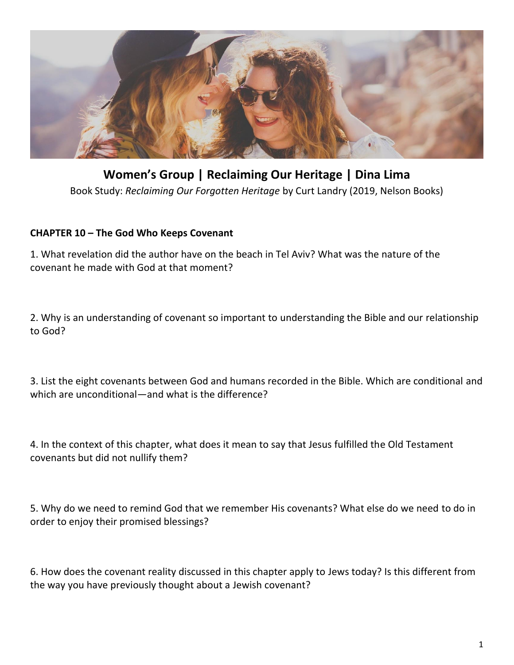

**Women's Group | Reclaiming Our Heritage | Dina Lima** Book Study: *Reclaiming Our Forgotten Heritage* by Curt Landry (2019, Nelson Books)

## **CHAPTER 10 – The God Who Keeps Covenant**

1. What revelation did the author have on the beach in Tel Aviv? What was the nature of the covenant he made with God at that moment?

2. Why is an understanding of covenant so important to understanding the Bible and our relationship to God?

3. List the eight covenants between God and humans recorded in the Bible. Which are conditional and which are unconditional—and what is the difference?

4. In the context of this chapter, what does it mean to say that Jesus fulfilled the Old Testament covenants but did not nullify them?

5. Why do we need to remind God that we remember His covenants? What else do we need to do in order to enjoy their promised blessings?

6. How does the covenant reality discussed in this chapter apply to Jews today? Is this different from the way you have previously thought about a Jewish covenant?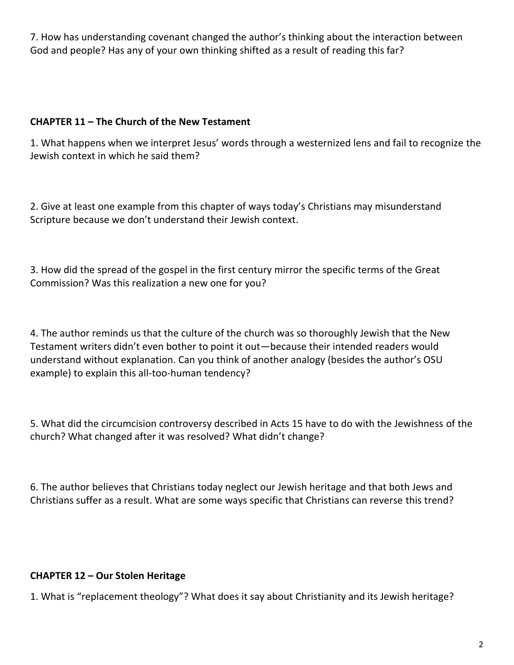7. How has understanding covenant changed the author's thinking about the interaction between God and people? Has any of your own thinking shifted as a result of reading this far?

## **CHAPTER 11 – The Church of the New Testament**

1. What happens when we interpret Jesus' words through a westernized lens and fail to recognize the Jewish context in which he said them?

2. Give at least one example from this chapter of ways today's Christians may misunderstand Scripture because we don't understand their Jewish context.

3. How did the spread of the gospel in the first century mirror the specific terms of the Great Commission? Was this realization a new one for you?

4. The author reminds us that the culture of the church was so thoroughly Jewish that the New Testament writers didn't even bother to point it out—because their intended readers would understand without explanation. Can you think of another analogy (besides the author's OSU example) to explain this all-too-human tendency?

5. What did the circumcision controversy described in Acts 15 have to do with the Jewishness of the church? What changed after it was resolved? What didn't change?

6. The author believes that Christians today neglect our Jewish heritage and that both Jews and Christians suffer as a result. What are some ways specific that Christians can reverse this trend?

## **CHAPTER 12 – Our Stolen Heritage**

1. What is "replacement theology"? What does it say about Christianity and its Jewish heritage?